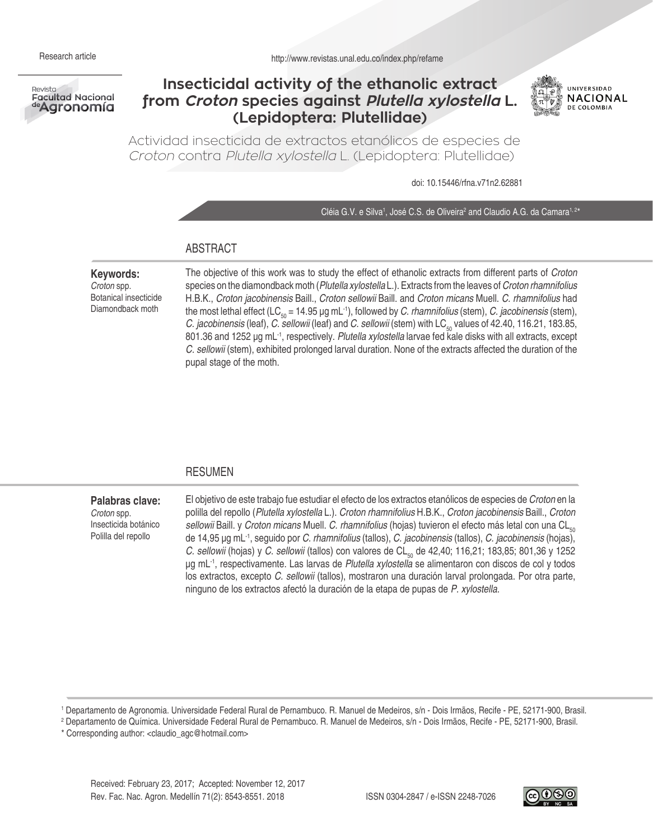

# **Insecticidal activity of the ethanolic extract from Croton species against Plutella xylostella L. (Lepidoptera: Plutellidae)**



Actividad insecticida de extractos etanólicos de especies de Croton contra Plutella xylostella L. (Lepidoptera: Plutellidae)

doi: 10.15446/rfna.v71n2.62881

Cléia G.V. e Silva<sup>1</sup>, José C.S. de Oliveira<sup>2</sup> and Claudio A.G. da Camara<sup>1, 2\*</sup>

# ABSTRACT

#### **Keywords:**

*Croton* spp. Botanical insecticide Diamondback moth

The objective of this work was to study the effect of ethanolic extracts from different parts of *Croton* species on the diamondback moth (*Plutella xylostella* L.). Extracts from the leaves of *Croton rhamnifolius* H.B.K., *Croton jacobinensis* Baill., *Croton sellowii* Baill. and *Croton micans* Muell. *C. rhamnifolius* had the most lethal effect (LC<sub>50</sub> = 14.95 µg mL<sup>-1</sup>), followed by *C. rhamnifolius* (stem), *C. jacobinensis* (stem), *C. jacobinensis* (leaf), *C. sellowii* (leaf) and *C. sellowii* (stem) with LC<sub>50</sub> values of 42.40, 116.21, 183.85, 801.36 and 1252 µg mL-1, respectively. *Plutella xylostella* larvae fed kale disks with all extracts, except *C. sellowii* (stem), exhibited prolonged larval duration. None of the extracts affected the duration of the pupal stage of the moth.

## RESUMEN

**Palabras clave:**  *Croton* spp. Insecticida botánico Polilla del repollo El objetivo de este trabajo fue estudiar el efecto de los extractos etanólicos de especies de *Croton* en la polilla del repollo (*Plutella xylostella* L.). *Croton rhamnifolius* H.B.K., *Croton jacobinensis* Baill., *Croton sellowii* Baill. y *Croton micans* Muell. *C. rhamnifolius* (hojas) tuvieron el efecto más letal con una CL50 de 14,95 µg mL-1, seguido por *C. rhamnifolius* (tallos), *C. jacobinensis* (tallos), *C. jacobinensis* (hojas), *C. sellowii* (hojas) y *C. sellowii* (tallos) con valores de CL<sub>50</sub> de 42,40; 116,21; 183,85; 801,36 y 1252 µg mL-1, respectivamente. Las larvas de *Plutella xylostella* se alimentaron con discos de col y todos los extractos, excepto *C. sellowii* (tallos), mostraron una duración larval prolongada. Por otra parte, ninguno de los extractos afectó la duración de la etapa de pupas de *P. xylostella*.

1 Departamento de Agronomia. Universidade Federal Rural de Pernambuco. R. Manuel de Medeiros, s/n - Dois Irmãos, Recife - PE, 52171-900, Brasil.

2 Departamento de Química. Universidade Federal Rural de Pernambuco. R. Manuel de Medeiros, s/n - Dois Irmãos, Recife - PE, 52171-900, Brasil.

\* Corresponding author: <claudio\_agc@hotmail.com>

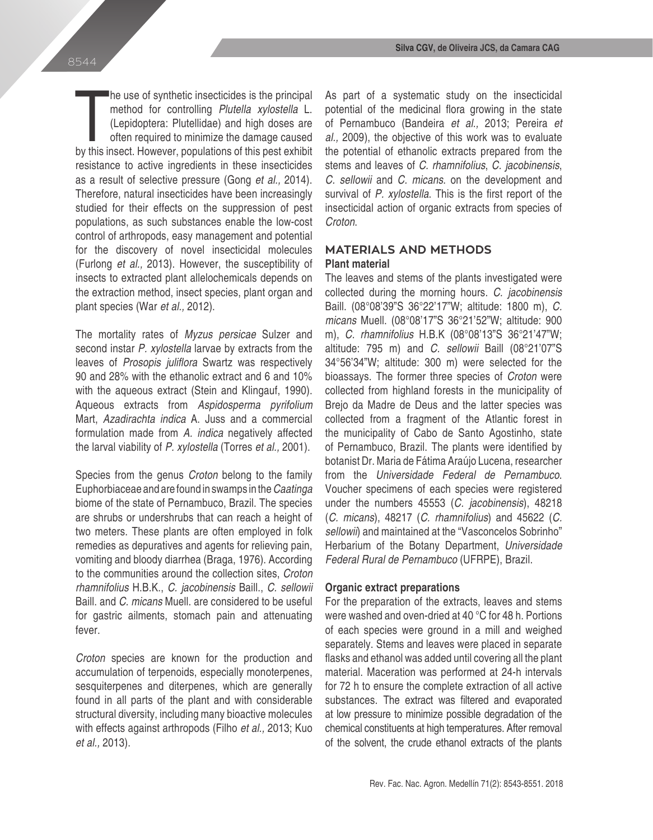The use of synthetic insecticides is the principal<br>method for controlling *Plutella xylostella* L.<br>(Lepidoptera: Plutellidae) and high doses are<br>often required to minimize the damage caused<br>by this insect. However, populat he use of synthetic insecticides is the principal method for controlling *Plutella xylostella* L. (Lepidoptera: Plutellidae) and high doses are often required to minimize the damage caused resistance to active ingredients in these insecticides as a result of selective pressure (Gong *et al.,* 2014). Therefore, natural insecticides have been increasingly studied for their effects on the suppression of pest populations, as such substances enable the low-cost control of arthropods, easy management and potential for the discovery of novel insecticidal molecules (Furlong *et al.,* 2013). However, the susceptibility of insects to extracted plant allelochemicals depends on the extraction method, insect species, plant organ and plant species (War *et al.,* 2012).

The mortality rates of *Myzus persicae* Sulzer and second instar *P. xylostella* larvae by extracts from the leaves of Prosopis juliflora Swartz was respectively 90 and 28% with the ethanolic extract and 6 and 10% with the aqueous extract (Stein and Klingauf, 1990). Aqueous extracts from *Aspidosperma pyrifolium* Mart, *Azadirachta indica* A. Juss and a commercial formulation made from *A. indica* negatively affected the larval viability of *P. xylostella* (Torres *et al.,* 2001).

Species from the genus *Croton* belong to the family Euphorbiaceae and are found in swamps in the *Caatinga* biome of the state of Pernambuco, Brazil. The species are shrubs or undershrubs that can reach a height of two meters. These plants are often employed in folk remedies as depuratives and agents for relieving pain, vomiting and bloody diarrhea (Braga, 1976). According to the communities around the collection sites, *Croton rhamnifolius* H.B.K., *C. jacobinensis* Baill., *C. sellowii* Baill. and *C. micans* Muell. are considered to be useful for gastric ailments, stomach pain and attenuating fever.

*Croton* species are known for the production and accumulation of terpenoids, especially monoterpenes, sesquiterpenes and diterpenes, which are generally found in all parts of the plant and with considerable structural diversity, including many bioactive molecules with effects against arthropods (Filho *et al.,* 2013; Kuo *et al.,* 2013).

As part of a systematic study on the insecticidal potential of the medicinal flora growing in the state of Pernambuco (Bandeira *et al.,* 2013; Pereira *et al.,* 2009), the objective of this work was to evaluate the potential of ethanolic extracts prepared from the stems and leaves of *C. rhamnifolius*, *C. jacobinensis*, *C. sellowii* and *C. micans*. on the development and survival of *P. xylostella*. This is the first report of the insecticidal action of organic extracts from species of *Croton*.

# **MATERIALS AND METHODS Plant material**

The leaves and stems of the plants investigated were collected during the morning hours. *C. jacobinensis* Baill. (08�08'39"S 36°22'17"W; altitude: 1800 m), *C. micans* Muell. (08�08'17"S 36�21'52"W; altitude: 900 m), *C. rhamnifolius* H.B.K (08�08'13"S 36�21'47"W; altitude: 795 m) and *C. sellowii* Baill (08�21'07"S 34�56'34"W; altitude: 300 m) were selected for the bioassays. The former three species of *Croton* were collected from highland forests in the municipality of Brejo da Madre de Deus and the latter species was collected from a fragment of the Atlantic forest in the municipality of Cabo de Santo Agostinho, state of Pernambuco, Brazil. The plants were identified by botanist Dr. Maria de Fátima Araújo Lucena, researcher from the *Universidade Federal de Pernambuco*. Voucher specimens of each species were registered under the numbers 45553 (*C. jacobinensis*), 48218 (*C. micans*), 48217 (*C. rhamnifolius*) and 45622 (*C. sellowii*) and maintained at the "Vasconcelos Sobrinho" Herbarium of the Botany Department, *Universidade Federal Rural de Pernambuco* (UFRPE), Brazil.

## **Organic extract preparations**

For the preparation of the extracts, leaves and stems were washed and oven-dried at 40 °C for 48 h. Portions of each species were ground in a mill and weighed separately. Stems and leaves were placed in separate flasks and ethanol was added until covering all the plant material. Maceration was performed at 24-h intervals for 72 h to ensure the complete extraction of all active substances. The extract was filtered and evaporated at low pressure to minimize possible degradation of the chemical constituents at high temperatures. After removal of the solvent, the crude ethanol extracts of the plants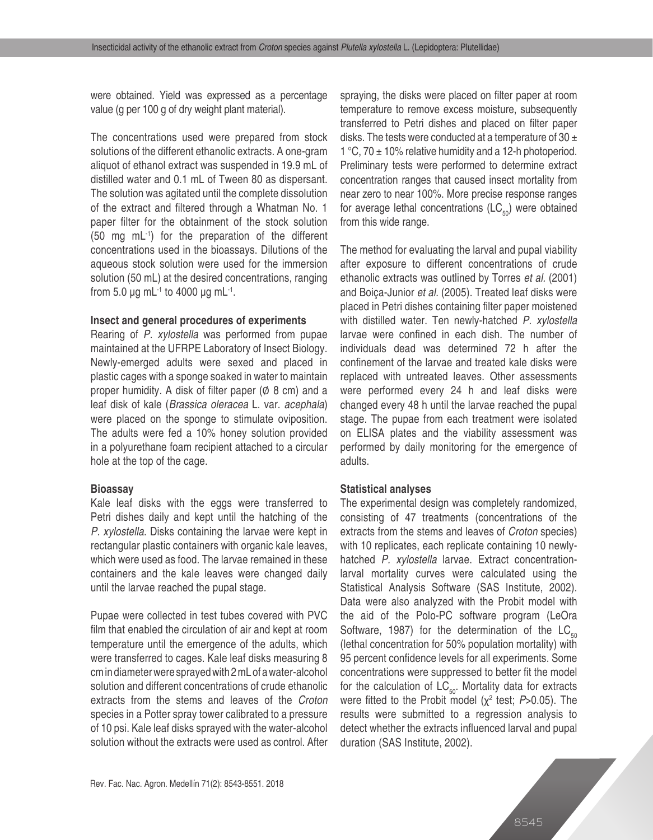were obtained. Yield was expressed as a percentage value (g per 100 g of dry weight plant material).

The concentrations used were prepared from stock solutions of the different ethanolic extracts. A one-gram aliquot of ethanol extract was suspended in 19.9 mL of distilled water and 0.1 mL of Tween 80 as dispersant. The solution was agitated until the complete dissolution of the extract and filtered through a Whatman No. 1 paper filter for the obtainment of the stock solution (50 mg mL-1) for the preparation of the different concentrations used in the bioassays. Dilutions of the aqueous stock solution were used for the immersion solution (50 mL) at the desired concentrations, ranging from 5.0  $\mu$ g mL<sup>-1</sup> to 4000  $\mu$ g mL<sup>-1</sup>.

#### **Insect and general procedures of experiments**

Rearing of *P. xylostella* was performed from pupae maintained at the UFRPE Laboratory of Insect Biology. Newly-emerged adults were sexed and placed in plastic cages with a sponge soaked in water to maintain proper humidity. A disk of filter paper ( $\varnothing$  8 cm) and a leaf disk of kale (*Brassica oleracea* L. var. *acephala*) were placed on the sponge to stimulate oviposition. The adults were fed a 10% honey solution provided in a polyurethane foam recipient attached to a circular hole at the top of the cage.

#### **Bioassay**

Kale leaf disks with the eggs were transferred to Petri dishes daily and kept until the hatching of the *P. xylostella*. Disks containing the larvae were kept in rectangular plastic containers with organic kale leaves, which were used as food. The larvae remained in these containers and the kale leaves were changed daily until the larvae reached the pupal stage.

Pupae were collected in test tubes covered with PVC film that enabled the circulation of air and kept at room temperature until the emergence of the adults, which were transferred to cages. Kale leaf disks measuring 8 cm in diameter were sprayed with 2 mL of a water-alcohol solution and different concentrations of crude ethanolic extracts from the stems and leaves of the *Croton* species in a Potter spray tower calibrated to a pressure of 10 psi. Kale leaf disks sprayed with the water-alcohol solution without the extracts were used as control. After

Rev. Fac. Nac. Agron. Medellín 71(2): 8543-8551. 2018

spraying, the disks were placed on filter paper at room temperature to remove excess moisture, subsequently transferred to Petri dishes and placed on filter paper disks. The tests were conducted at a temperature of 30  $\pm$ 1 °C, 70 ± 10% relative humidity and a 12-h photoperiod. Preliminary tests were performed to determine extract concentration ranges that caused insect mortality from near zero to near 100%. More precise response ranges for average lethal concentrations  $(LC_{50})$  were obtained from this wide range.

The method for evaluating the larval and pupal viability after exposure to different concentrations of crude ethanolic extracts was outlined by Torres *et al.* (2001) and Boiça-Junior *et al.* (2005). Treated leaf disks were placed in Petri dishes containing filter paper moistened with distilled water. Ten newly-hatched *P. xylostella*  larvae were confined in each dish. The number of individuals dead was determined 72 h after the confinement of the larvae and treated kale disks were replaced with untreated leaves. Other assessments were performed every 24 h and leaf disks were changed every 48 h until the larvae reached the pupal stage. The pupae from each treatment were isolated on ELISA plates and the viability assessment was performed by daily monitoring for the emergence of adults.

## **Statistical analyses**

The experimental design was completely randomized, consisting of 47 treatments (concentrations of the extracts from the stems and leaves of *Croton* species) with 10 replicates, each replicate containing 10 newlyhatched *P. xylostella* larvae. Extract concentrationlarval mortality curves were calculated using the Statistical Analysis Software (SAS Institute, 2002). Data were also analyzed with the Probit model with the aid of the Polo-PC software program (LeOra Software, 1987) for the determination of the  $LC_{50}$ (lethal concentration for 50% population mortality) with 95 percent confidence levels for all experiments. Some concentrations were suppressed to better fit the model for the calculation of  $LC_{50}$ . Mortality data for extracts were fitted to the Probit model ( $\chi^2$  test; *P*>0.05). The results were submitted to a regression analysis to detect whether the extracts influenced larval and pupal duration (SAS Institute, 2002).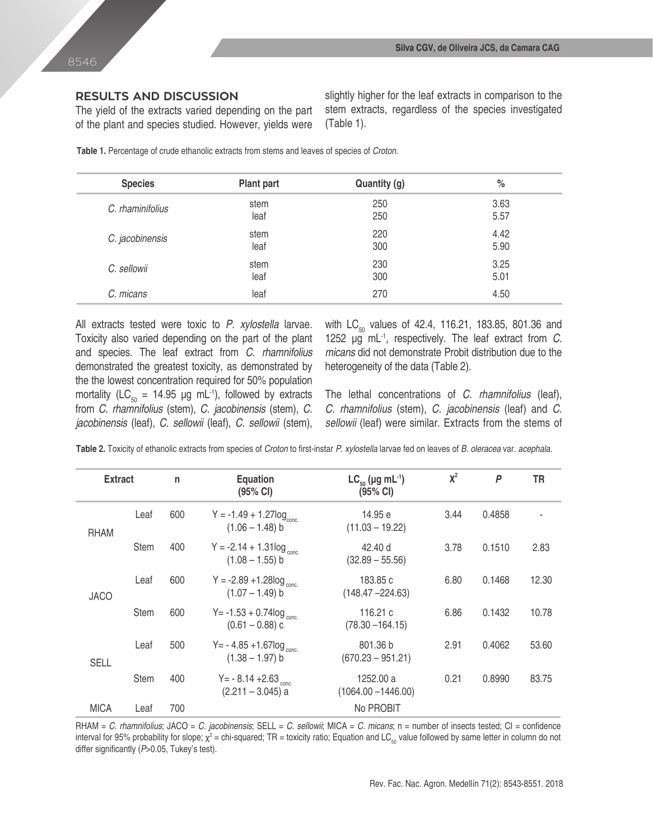# **RESULTS AND DISCUSSION**

The yield of the extracts varied depending on the part of the plant and species studied. However, yields were

slightly higher for the leaf extracts in comparison to the stem extracts, regardless of the species investigated (Table 1).

**Table 1.** Percentage of crude ethanolic extracts from stems and leaves of species of *Croton.*

| <b>Species</b>   | <b>Plant part</b> | Quantity (g) | $\%$ |
|------------------|-------------------|--------------|------|
| C. rhaminifolius | stem              | 250          | 3.63 |
|                  | leaf              | 250          | 5.57 |
| C. jacobinensis  | stem              | 220          | 4.42 |
|                  | leaf              | 300          | 5.90 |
| C. sellowii      | stem              | 230          | 3.25 |
|                  | leaf              | 300          | 5.01 |
| C. micans        | leaf              | 270          | 4.50 |

All extracts tested were toxic to *P. xylostella* larvae. Toxicity also varied depending on the part of the plant and species. The leaf extract from *C. rhamnifolius*  demonstrated the greatest toxicity, as demonstrated by the the lowest concentration required for 50% population mortality (LC<sub>50</sub> = 14.95 µg mL<sup>-1</sup>), followed by extracts from *C. rhamnifolius* (stem), *C. jacobinensis* (stem), *C. jacobinensis* (leaf), *C. sellowii* (leaf), *C. sellowii* (stem), with  $LC_{50}$  values of 42.4, 116.21, 183.85, 801.36 and 1252 µg mL-1, respectively. The leaf extract from *C. micans* did not demonstrate Probit distribution due to the heterogeneity of the data (Table 2).

The lethal concentrations of *C. rhamnifolius* (leaf), *C. rhamnifolius* (stem), *C. jacobinensis* (leaf) and *C. sellowii* (leaf) were similar. Extracts from the stems of

| <b>Extract</b> |             | n   | <b>Equation</b><br>(95% Cl)                                 | $LC_{50}$ (µg mL <sup>-1</sup> )<br>(95% Cl) | $\chi^2$ | P      | TR    |
|----------------|-------------|-----|-------------------------------------------------------------|----------------------------------------------|----------|--------|-------|
| <b>RHAM</b>    | Leaf        | 600 | $Y = -1.49 + 1.27 \log_{\text{conc}}$<br>$(1.06 - 1.48) b$  | 14.95 e<br>$(11.03 - 19.22)$                 | 3.44     | 0.4858 |       |
|                | <b>Stem</b> | 400 | $Y = -2.14 + 1.31 \log_{\text{conc.}}$<br>$(1.08 - 1.55)$ b | 42.40 d<br>$(32.89 - 55.56)$                 | 3.78     | 0.1510 | 2.83  |
| <b>JACO</b>    | Leaf        | 600 | $Y = -2.89 + 1.28 \log_{\text{conc}}$<br>$(1.07 - 1.49) b$  | 183.85 c<br>$(148.47 - 224.63)$              | 6.80     | 0.1468 | 12.30 |
|                | <b>Stem</b> | 600 | $Y = -1.53 + 0.74 \log_{\text{conc.}}$<br>$(0.61 - 0.88)$ c | 116.21 $c$<br>$(78.30 - 164.15)$             | 6.86     | 0.1432 | 10.78 |
| <b>SELL</b>    | Leaf        | 500 | $Y = -4.85 + 1.67 \log_{\text{conc.}}$<br>$(1.38 - 1.97)$ b | 801.36 b<br>$(670.23 - 951.21)$              | 2.91     | 0.4062 | 53.60 |
|                | <b>Stem</b> | 400 | $Y = -8.14 + 2.63$ <sub>conc.</sub><br>$(2.211 - 3.045)$ a  | 1252.00 a<br>$(1064.00 - 1446.00)$           | 0.21     | 0.8990 | 83.75 |
| <b>MICA</b>    | Leaf        | 700 |                                                             | No PROBIT                                    |          |        |       |

**Table 2.** Toxicity of ethanolic extracts from species of *Croton* to first-instar *P. xylostella* larvae fed on leaves of *B. oleracea* var. *acephala.*

RHAM = *C. rhamnifolius*; JACO = *C. jacobinensis*; SELL = *C. sellowii*; MICA = *C. micans*; n = number of insects tested; CI = confidence interval for 95% probability for slope; χ<sup>2</sup> = chi-squared; TR = toxicity ratio; Equation and LC<sub>50</sub> value followed by same letter in column do not differ significantly (P>0.05, Tukey's test).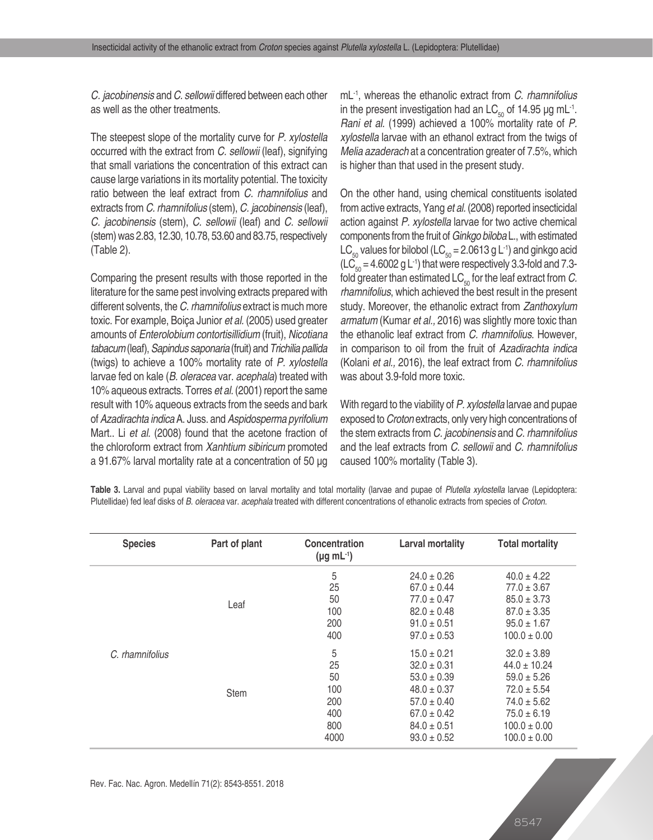*C. jacobinensis* and *C. sellowii* differed between each other as well as the other treatments.

The steepest slope of the mortality curve for *P. xylostella* occurred with the extract from *C. sellowii* (leaf), signifying that small variations the concentration of this extract can cause large variations in its mortality potential. The toxicity ratio between the leaf extract from *C. rhamnifolius* and extracts from *C. rhamnifolius* (stem), *C. jacobinensis* (leaf), *C. jacobinensis* (stem), *C. sellowii* (leaf) and *C. sellowii* (stem) was 2.83, 12.30, 10.78, 53.60 and 83.75, respectively (Table 2).

Comparing the present results with those reported in the literature for the same pest involving extracts prepared with different solvents, the *C. rhamnifolius* extract is much more toxic. For example, Boiça Junior *et al.* (2005) used greater amounts of *Enterolobium contortisillidium* (fruit), *Nicotiana tabacum* (leaf), *Sapindus saponaria* (fruit) and *Trichilia pallida* (twigs) to achieve a 100% mortality rate of *P. xylostella* larvae fed on kale (*B. oleracea* var. *acephala*) treated with 10% aqueous extracts. Torres *et al.* (2001) report the same result with 10% aqueous extracts from the seeds and bark of *Azadirachta indica* A. Juss. and *Aspidosperma pyrifolium* Mart.. Li *et al.* (2008) found that the acetone fraction of the chloroform extract from *Xanhtium sibiricum* promoted a 91.67% larval mortality rate at a concentration of 50 µg

mL-1, whereas the ethanolic extract from *C. rhamnifolius* in the present investigation had an  $LC_{50}$  of 14.95 µg mL<sup>-1</sup>. *Rani et al.* (1999) achieved a 100% mortality rate of *P. xylostella* larvae with an ethanol extract from the twigs of *Melia azaderach* at a concentration greater of 7.5%, which is higher than that used in the present study.

On the other hand, using chemical constituents isolated from active extracts, Yang *et al.* (2008) reported insecticidal action against *P. xylostella* larvae for two active chemical components from the fruit of *Ginkgo biloba* L., with estimated LC<sub>50</sub> values for bilobol (LC<sub>50</sub> = 2.0613 g L<sup>-1</sup>) and ginkgo acid  $(LC<sub>50</sub> = 4.6002 g L<sup>-1</sup>)$  that were respectively 3.3-fold and 7.3fold greater than estimated  $LC_{50}$  for the leaf extract from  $C$ . *rhamnifolius*, which achieved the best result in the present study. Moreover, the ethanolic extract from *Zanthoxylum armatum* (Kumar *et al.,* 2016) was slightly more toxic than the ethanolic leaf extract from *C. rhamnifolius*. However, in comparison to oil from the fruit of *Azadirachta indica* (Kolani *et al.,* 2016), the leaf extract from *C. rhamnifolius* was about 3.9-fold more toxic.

With regard to the viability of *P. xylostella* larvae and pupae exposed to *Croton* extracts, only very high concentrations of the stem extracts from *C. jacobinensis* and *C. rhamnifolius* and the leaf extracts from *C. sellowii* and *C. rhamnifolius* caused 100% mortality (Table 3).

**Table 3.** Larval and pupal viability based on larval mortality and total mortality (larvae and pupae of *Plutella xylostella* larvae (Lepidoptera: Plutellidae) fed leaf disks of *B. oleracea* var. *acephala* treated with different concentrations of ethanolic extracts from species of *Croton.*

| <b>Species</b>  | Part of plant | Concentration<br>( $\mu$ g mL <sup>-1</sup> ) | <b>Larval mortality</b> | <b>Total mortality</b> |
|-----------------|---------------|-----------------------------------------------|-------------------------|------------------------|
|                 |               | 5                                             | $24.0 \pm 0.26$         | $40.0 \pm 4.22$        |
|                 |               | 25                                            | $67.0 \pm 0.44$         | $77.0 \pm 3.67$        |
|                 | Leaf          | 50                                            | $77.0 \pm 0.47$         | $85.0 \pm 3.73$        |
|                 |               | 100                                           | $82.0 \pm 0.48$         | $87.0 \pm 3.35$        |
| C. rhamnifolius |               | 200                                           | $91.0 \pm 0.51$         | $95.0 \pm 1.67$        |
|                 |               | 400                                           | $97.0 \pm 0.53$         | $100.0 \pm 0.00$       |
|                 | <b>Stem</b>   | 5                                             | $15.0 \pm 0.21$         | $32.0 \pm 3.89$        |
|                 |               | 25                                            | $32.0 \pm 0.31$         | $44.0 \pm 10.24$       |
|                 |               | 50                                            | $53.0 \pm 0.39$         | $59.0 \pm 5.26$        |
|                 |               | 100                                           | $48.0 \pm 0.37$         | $72.0 \pm 5.54$        |
|                 |               | 200                                           | $57.0 \pm 0.40$         | $74.0 \pm 5.62$        |
|                 |               | 400                                           | $67.0 \pm 0.42$         | $75.0 \pm 6.19$        |
|                 |               | 800                                           | $84.0 \pm 0.51$         | $100.0 \pm 0.00$       |
|                 |               | 4000                                          | $93.0 \pm 0.52$         | $100.0 \pm 0.00$       |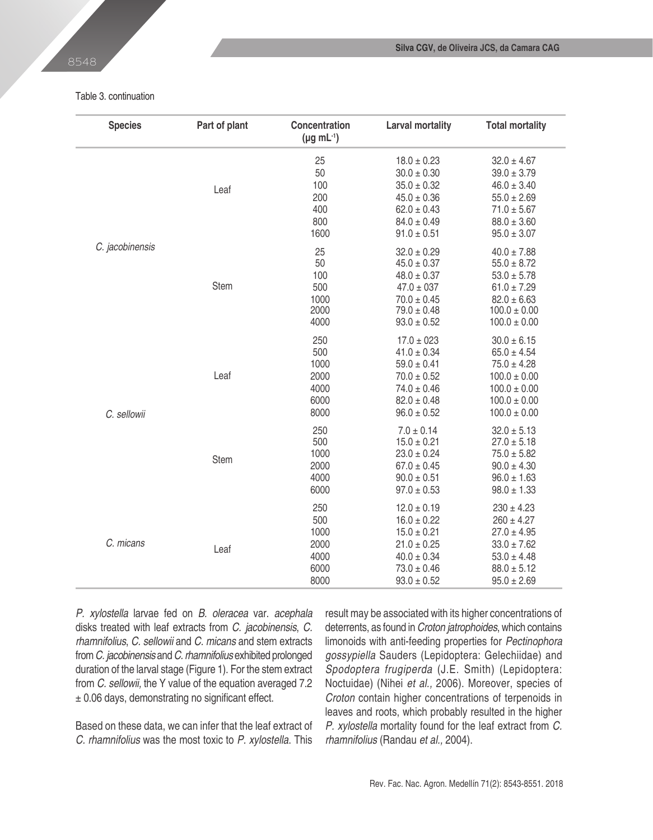# Table 3. continuation

| <b>Species</b>  | Part of plant | Concentration<br>$(\mu g \, mL^{-1})$ | <b>Larval mortality</b> | <b>Total mortality</b> |
|-----------------|---------------|---------------------------------------|-------------------------|------------------------|
|                 |               | 25                                    | $18.0 \pm 0.23$         | $32.0 \pm 4.67$        |
|                 |               | 50                                    | $30.0 \pm 0.30$         | $39.0 \pm 3.79$        |
|                 | Leaf          | 100                                   | $35.0 \pm 0.32$         | $46.0 \pm 3.40$        |
|                 |               | 200                                   | $45.0 \pm 0.36$         | $55.0 \pm 2.69$        |
|                 |               | 400                                   | $62.0 \pm 0.43$         | $71.0 \pm 5.67$        |
|                 |               | 800                                   | $84.0 \pm 0.49$         | $88.0 \pm 3.60$        |
|                 |               | 1600                                  | $91.0 \pm 0.51$         | $95.0 \pm 3.07$        |
| C. jacobinensis |               | 25                                    | $32.0 \pm 0.29$         | $40.0 \pm 7.88$        |
|                 |               | 50                                    | $45.0 \pm 0.37$         | $55.0 \pm 8.72$        |
|                 |               | 100                                   | $48.0 \pm 0.37$         | $53.0 \pm 5.78$        |
|                 | <b>Stem</b>   | 500                                   | $47.0 \pm 037$          | $61.0 \pm 7.29$        |
|                 |               | 1000                                  | $70.0 \pm 0.45$         | $82.0 \pm 6.63$        |
|                 |               | 2000                                  | $79.0 \pm 0.48$         | $100.0 \pm 0.00$       |
|                 |               | 4000                                  | $93.0 \pm 0.52$         | $100.0 \pm 0.00$       |
|                 |               | 250                                   | $17.0 \pm 023$          | $30.0 \pm 6.15$        |
|                 |               | 500                                   | $41.0 \pm 0.34$         | $65.0 \pm 4.54$        |
|                 |               | 1000                                  | $59.0 \pm 0.41$         | $75.0 \pm 4.28$        |
|                 | Leaf          | 2000                                  | $70.0 \pm 0.52$         | $100.0 \pm 0.00$       |
|                 |               | 4000                                  | $74.0 \pm 0.46$         | $100.0 \pm 0.00$       |
| C. sellowii     |               | 6000                                  | $82.0 \pm 0.48$         | $100.0 \pm 0.00$       |
|                 |               | 8000                                  | $96.0 \pm 0.52$         | $100.0 \pm 0.00$       |
|                 | <b>Stem</b>   | 250                                   | $7.0 \pm 0.14$          | $32.0 \pm 5.13$        |
|                 |               | 500                                   | $15.0 \pm 0.21$         | $27.0 \pm 5.18$        |
|                 |               | 1000                                  | $23.0 \pm 0.24$         | $75.0 \pm 5.82$        |
|                 |               | 2000                                  | $67.0 \pm 0.45$         | $90.0 \pm 4.30$        |
|                 |               | 4000                                  | $90.0 \pm 0.51$         | $96.0 \pm 1.63$        |
|                 |               | 6000                                  | $97.0 \pm 0.53$         | $98.0 \pm 1.33$        |
| C. micans       |               | 250                                   | $12.0 \pm 0.19$         | $230 \pm 4.23$         |
|                 |               | 500                                   | $16.0 \pm 0.22$         | $260 \pm 4.27$         |
|                 | Leaf          | 1000                                  | $15.0 \pm 0.21$         | $27.0 \pm 4.95$        |
|                 |               | 2000                                  | $21.0 \pm 0.25$         | $33.0 \pm 7.62$        |
|                 |               | 4000                                  | $40.0 \pm 0.34$         | $53.0 \pm 4.48$        |
|                 |               | 6000                                  | $73.0 \pm 0.46$         | $88.0 \pm 5.12$        |
|                 |               | 8000                                  | $93.0 \pm 0.52$         | $95.0 \pm 2.69$        |

*P. xylostella* larvae fed on *B. oleracea* var. *acephala* disks treated with leaf extracts from *C. jacobinensis*, *C. rhamnifolius*, *C. sellowii* and *C. micans* and stem extracts from *C. jacobinensis* and *C. rhamnifolius* exhibited prolonged duration of the larval stage (Figure 1). For the stem extract from *C. sellowii,* the Y value of the equation averaged 7.2 ± 0.06 days, demonstrating no significant effect.

Based on these data, we can infer that the leaf extract of *C. rhamnifolius* was the most toxic to *P. xylostella*. This result may be associated with its higher concentrations of deterrents, as found in *Croton jatrophoides*, which contains limonoids with anti-feeding properties for *Pectinophora gossypiella* Sauders (Lepidoptera: Gelechiidae) and *Spodoptera frugiperda* (J.E. Smith) (Lepidoptera: Noctuidae) (Nihei *et al.,* 2006). Moreover, species of *Croton* contain higher concentrations of terpenoids in leaves and roots, which probably resulted in the higher *P. xylostella* mortality found for the leaf extract from *C. rhamnifolius* (Randau *et al.,* 2004).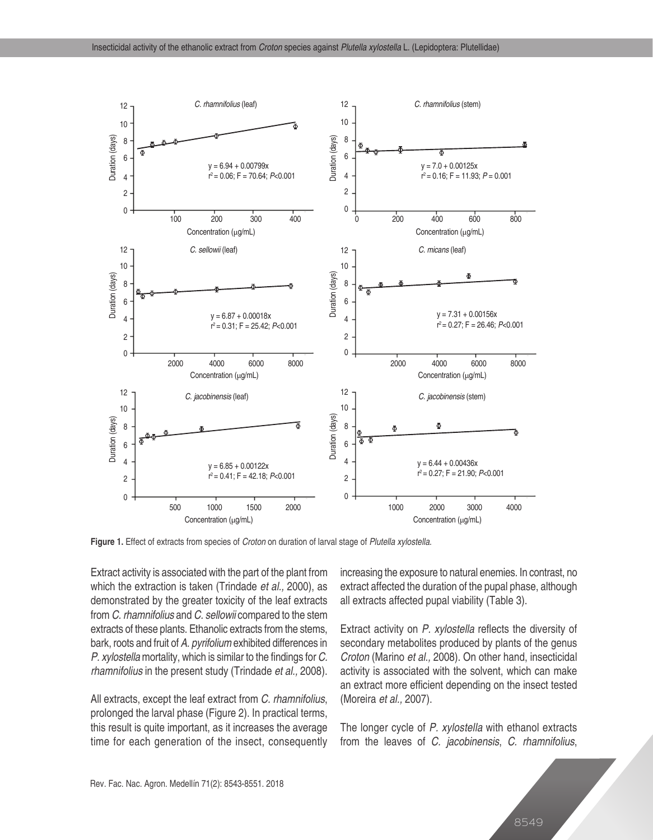

**Figure 1.** Effect of extracts from species of *Croton* on duration of larval stage of *Plutella xylostella*.

Extract activity is associated with the part of the plant from which the extraction is taken (Trindade *et al.,* 2000), as demonstrated by the greater toxicity of the leaf extracts from *C. rhamnifolius* and *C. sellowii* compared to the stem extracts of these plants. Ethanolic extracts from the stems, bark, roots and fruit of *A. pyrifolium* exhibited differences in *P. xylostella* mortality, which is similar to the findings for *C. rhamnifolius* in the present study (Trindade *et al.,* 2008).

All extracts, except the leaf extract from *C. rhamnifolius*, prolonged the larval phase (Figure 2). In practical terms, this result is quite important, as it increases the average time for each generation of the insect, consequently increasing the exposure to natural enemies. In contrast, no extract affected the duration of the pupal phase, although all extracts affected pupal viability (Table 3).

Extract activity on *P. xylostella* reflects the diversity of secondary metabolites produced by plants of the genus *Croton* (Marino *et al.,* 2008). On other hand, insecticidal activity is associated with the solvent, which can make an extract more efficient depending on the insect tested (Moreira *et al.,* 2007).

The longer cycle of *P. xylostella* with ethanol extracts from the leaves of *C. jacobinensis*, *C. rhamnifolius*,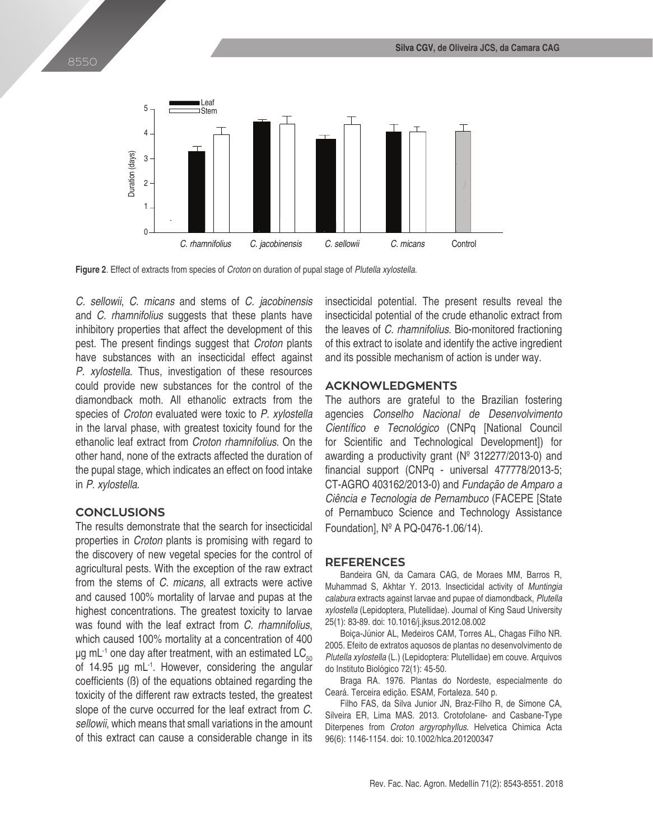



*C. sellowii*, *C. micans* and stems of *C. jacobinensis* and *C. rhamnifolius* suggests that these plants have inhibitory properties that affect the development of this pest. The present findings suggest that *Croton* plants have substances with an insecticidal effect against *P. xylostella*. Thus, investigation of these resources could provide new substances for the control of the diamondback moth. All ethanolic extracts from the species of *Croton* evaluated were toxic to *P. xylostella* in the larval phase, with greatest toxicity found for the ethanolic leaf extract from *Croton rhamnifolius*. On the other hand, none of the extracts affected the duration of the pupal stage, which indicates an effect on food intake in *P. xylostella*.

## **CONCLUSIONS**

The results demonstrate that the search for insecticidal properties in *Croton* plants is promising with regard to the discovery of new vegetal species for the control of agricultural pests. With the exception of the raw extract from the stems of *C. micans*, all extracts were active and caused 100% mortality of larvae and pupas at the highest concentrations. The greatest toxicity to larvae was found with the leaf extract from *C. rhamnifolius*, which caused 100% mortality at a concentration of 400 µg mL $<sup>-1</sup>$  one day after treatment, with an estimated LC<sub>50</sub></sup> of 14.95 µg mL-1. However, considering the angular coefficients (ß) of the equations obtained regarding the toxicity of the different raw extracts tested, the greatest slope of the curve occurred for the leaf extract from *C. sellowii*, which means that small variations in the amount of this extract can cause a considerable change in its insecticidal potential. The present results reveal the insecticidal potential of the crude ethanolic extract from the leaves of *C. rhamnifolius*. Bio-monitored fractioning of this extract to isolate and identify the active ingredient and its possible mechanism of action is under way.

#### **ACKNOWLEDGMENTS**

The authors are grateful to the Brazilian fostering agencies *Conselho Nacional de Desenvolvimento*  Científico e Tecnológico (CNPq [National Council for Scientific and Technological Development]) for awarding a productivity grant ( $N<sup>°</sup>$  312277/2013-0) and financial support (CNPq - universal 477778/2013-5; CT-AGRO 403162/2013-0) and *Fundação de Amparo a Ciência e Tecnologia de Pernambuco* (FACEPE [State of Pernambuco Science and Technology Assistance Foundation], Nº A PQ-0476-1.06/14).

#### **REFERENCES**

Bandeira GN, da Camara CAG, de Moraes MM, Barros R, Muhammad S, Akhtar Y. 2013. Insecticidal activity of *Muntingia calabura* extracts against larvae and pupae of diamondback, *Plutella xylostella* (Lepidoptera, Plutellidae). Journal of King Saud University 25(1): 83-89. doi: 10.1016/j.jksus.2012.08.002

Boiça-Júnior AL, Medeiros CAM, Torres AL, Chagas Filho NR. 2005. Efeito de extratos aquosos de plantas no desenvolvimento de *Plutella xylostella* (L.) (Lepidoptera: Plutellidae) em couve. Arquivos do Instituto Biológico 72(1): 45-50.

Braga RA. 1976. Plantas do Nordeste, especialmente do Ceará. Terceira edição. ESAM, Fortaleza. 540 p.

Filho FAS, da Silva Junior JN, Braz-Filho R, de Simone CA, Silveira ER, Lima MAS. 2013. Crotofolane- and Casbane-Type Diterpenes from *Croton argyrophyllus*. Helvetica Chimica Acta 96(6): 1146-1154. doi: 10.1002/hlca.201200347